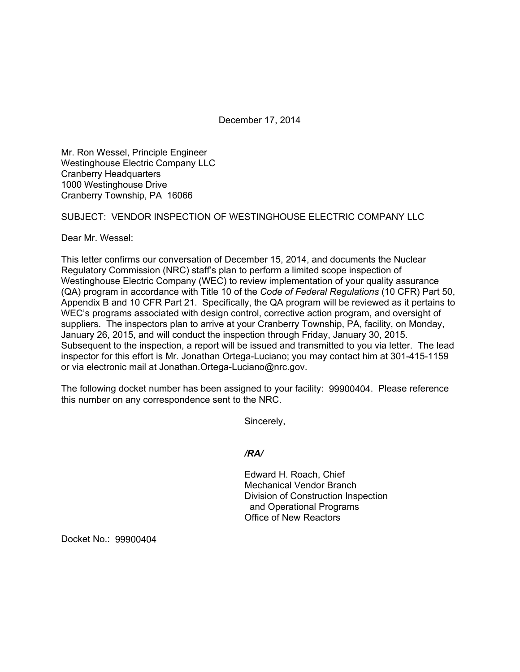December 17, 2014

Mr. Ron Wessel, Principle Engineer Westinghouse Electric Company LLC Cranberry Headquarters 1000 Westinghouse Drive Cranberry Township, PA 16066

## SUBJECT: VENDOR INSPECTION OF WESTINGHOUSE ELECTRIC COMPANY LLC

Dear Mr. Wessel:

This letter confirms our conversation of December 15, 2014, and documents the Nuclear Regulatory Commission (NRC) staff's plan to perform a limited scope inspection of Westinghouse Electric Company (WEC) to review implementation of your quality assurance (QA) program in accordance with Title 10 of the *Code of Federal Regulations* (10 CFR) Part 50, Appendix B and 10 CFR Part 21. Specifically, the QA program will be reviewed as it pertains to WEC's programs associated with design control, corrective action program, and oversight of suppliers. The inspectors plan to arrive at your Cranberry Township, PA, facility, on Monday, January 26, 2015, and will conduct the inspection through Friday, January 30, 2015. Subsequent to the inspection, a report will be issued and transmitted to you via letter. The lead inspector for this effort is Mr. Jonathan Ortega-Luciano; you may contact him at 301-415-1159 or via electronic mail at Jonathan.Ortega-Luciano@nrc.gov.

The following docket number has been assigned to your facility: 99900404. Please reference this number on any correspondence sent to the NRC.

Sincerely,

*/RA/* 

 Edward H. Roach, Chief Mechanical Vendor Branch Division of Construction Inspection and Operational Programs Office of New Reactors

Docket No.: 99900404